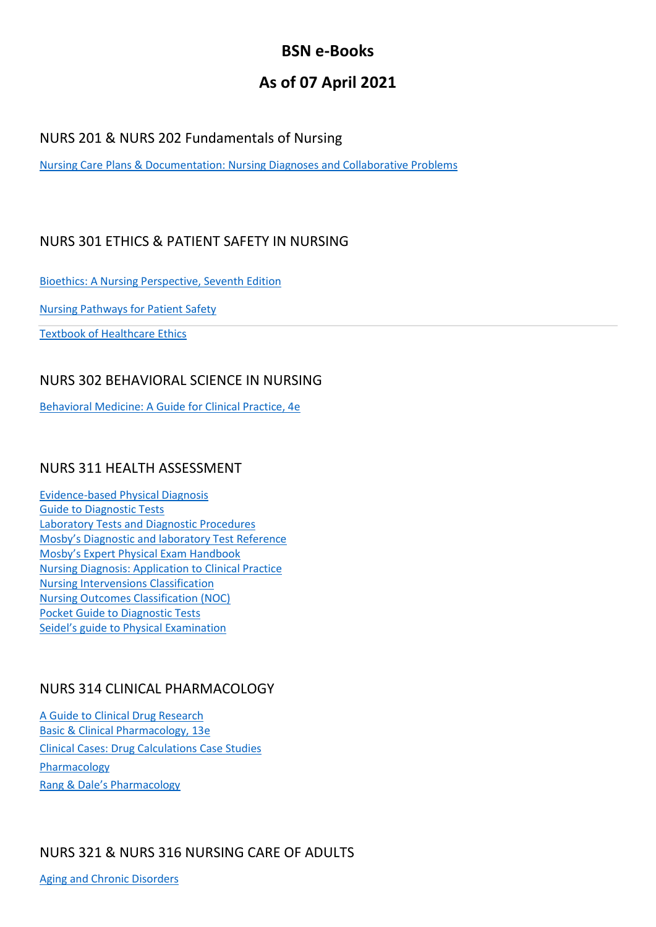# **BSN e-Books**

# **As of 07 April 2021**

#### NURS 201 & NURS 202 Fundamentals of Nursing

[Nursing Care Plans & Documentation: Nursing Diagnoses and Collaborative Problems](https://ovidsp.dc2.ovid.com/ovid-b/ovidweb.cgi?QS2=434f4e1a73d37e8c60b533dcc357fcbcc942d5de3ccb9b6fb1b54383550d923f3ff8e4aa26fb88e75888cd411ffd39b2e2e0bb979a96f711fe76c152e398e00081002524d8f84aff5e3b2b213da5cc12d55152591f664b1812d20fccf1a9061329887b87bd276d71c5eeb8403959a0e2ac7faafa356b700b43d5c0c0228b64ef9588b12cc5d5680e1a88d9790c290d5032fecd8f31f9daf18886c09396a605ebf79ed5262faacab8affb478f57bd41746e48ab65b61e6f0952831919035f072018b0bc1cb1e2e3bc6184e064706312399f1974ba6f1aedb98f80ddaf9a0bb813)

#### NURS 301 ETHICS & PATIENT SAFETY IN NURSING

[Bioethics: A Nursing Perspective,](https://www.clinicalkey.com/nursing/#!/browse/book/3-s2.0-C20180020423) Seventh Edition

[Nursing Pathways for Patient Safety](https://www.clinicalkey.com/nursing/#!/browse/book/3-s2.0-B9780323065177X00015)

[Textbook of Healthcare Ethics](http://link.springer.com/10.1007/1-4020-2252-2)

#### NURS 302 BEHAVIORAL SCIENCE IN NURSING

[Behavioral Medicine: A Guide for Clinical Practice, 4e](http://accessmedicine.mhmedical.com/book.aspx?bookID=1116)

#### NURS 311 HEALTH ASSESSMENT

[Evidence-based Physical Diagnosis](https://www.clinicalkey.com/#!/browse/book/3-s2.0-C20140041342) [Guide to Diagnostic Tests](https://accessmedicine.mhmedical.com/book.aspx?bookid=2032) Laboratory Tests and [Diagnostic Procedures](https://www.clinicalkey.com/#!/browse/book/3-s2.0-C20100683313) [Mosby's Diagnostic and laboratory Test Reference](https://www.clinicalkey.com/nursing/#!/browse/book/3-s2.0-C20180036683) [Mosby's Expert Physical Exam Handbook](https://www.clinicalkey.com/nursing/#!/browse/book/3-s2.0-B9780323057912X00016) [Nursing Diagnosis: Application to Clinical Practice](http://ovidsp.ovid.com/ovidweb.cgi?T=JS&NEWS=n&CSC=Y&PAGE=booktext&D=books&AN=00139968$&XPATH=/PG(0)) [Nursing Intervensions Classification](https://www.clinicalkey.com/nursing/#!/browse/book/3-s2.0-C20160015784) [Nursing Outcomes Classification \(NOC\)](https://www.clinicalkey.com/nursing/#!/browse/book/3-s2.0-C20160015796) [Pocket Guide to Diagnostic Tests](https://accessmedicine.mhmedical.com/book.aspx?bookid=503) Seidel's g[uide to Physical Examination](https://www.clinicalkey.com/#!/browse/book/3-s2.0-C20120012203)

#### NURS 314 CLINICAL PHARMACOLOGY

[A Guide to Clinical Drug Research](https://link.springer.com/book/10.1007%2F978-94-007-0878-5) [Basic & Clinical Pharmacology, 13e](https://accesspharmacy.mhmedical.com/book.aspx?bookid=1193) [Clinical Cases: Drug Calculations Case Studies](https://www.clinicalkey.com/nursing/#!/browse/book/3-s2.0-C20150006360) [Pharmacology](https://www.clinicalkey.com/#!/browse/book/3-s2.0-C20140033606) [Rang & Dale's Pharmacology](https://www.clinicalkey.com/#!/browse/book/3-s2.0-C2016004202X)

### NURS 321 & NURS 316 NURSING CARE OF ADULTS

[Aging and Chronic Disorders](http://link.springer.com/10.1007/978-0-387-70857-7)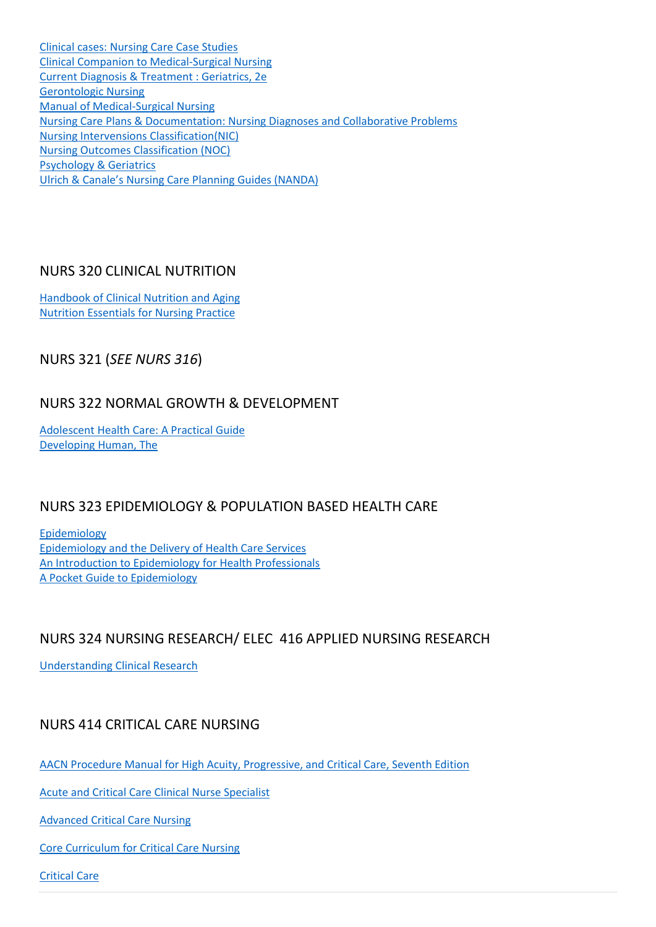[Clinical cases: Nursing Care Case Studies](https://www.clinicalkey.com/nursing/#!/browse/book/3-s2.0-C2014001341X) [Clinical Companion to Medical-Surgical Nursing](https://www.clinicalkey.com/nursing/#!/browse/book/3-s2.0-C20140004893) [Current Diagnosis & Treatment : Geriatrics, 2e](https://accessmedicine.mhmedical.com/book.aspx?bookid=953) [Gerontologic](https://www.clinicalkey.com/nursing/#!/browse/book/3-s2.0-C20160016686) Nursing [Manual of Medical-Surgical Nursing](https://www.clinicalkey.com/nursing/#!/browse/book/3-s2.0-C20090520351) [Nursing Care Plans & Documentation: Nursing Diagnoses and Collaborative Problems](http://ovidsp.ovid.com/ovidweb.cgi?T=JS&NEWS=n&CSC=Y&PAGE=booktext&D=books&AN=00146941$&XPATH=/PG(0)) [Nursing Intervensions Classification\(NIC\)](https://www.clinicalkey.com/nursing/#!/browse/book/3-s2.0-C20160015784) [Nursing Outcomes Classification \(NOC\)](https://www.clinicalkey.com/nursing/#!/browse/book/3-s2.0-C20160015796) [Psychology & Geriatrics](https://www.clinicalkey.com/#!/browse/book/3-s2.0-C20130134666) [Ulrich & Canale's Nursing Care Planning Guides \(NANDA\)](https://www.clinicalkey.com/nursing/#!/browse/book/3-s2.0-C20160052853)

#### NURS 320 CLINICAL NUTRITION

Handbook of [Clinical Nutrition and Aging](http://link.springer.com/10.1007/978-1-60327-385-5) [Nutrition Essentials for Nursing Practice](http://ovidsp.ovid.com/ovidweb.cgi?T=JS&NEWS=n&CSC=Y&PAGE=booktext&D=books&AN=00139971$&XPATH=/PG(0))

NURS 321 (*SEE NURS 316*)

## NURS 322 NORMAL GROWTH & DEVELOPMENT

[Adolescent Health Care: A Practical Guide](http://ovidsp.ovid.com/ovidweb.cgi?T=JS&NEWS=n&CSC=Y&PAGE=booktext&D=books&AN=01276471$&XPATH=/PG(0)) [Developing Human, The](https://www.clinicalkey.com/dura/browse/bookChapter/3-s2.0-C20130098490)

### NURS 323 EPIDEMIOLOGY & POPULATION BASED HEALTH CARE

[Epidemiology](https://www.clinicalkey.com/#!/browse/book/3-s2.0-C20160022520) [Epidemiology and the Delivery of Health Care Services](http://link.springer.com/10.1007/978-1-4419-0164-4) [An Introduction to Epidemiology for Health Professionals](http://link.springer.com/10.1007/978-1-4419-1497-2) [A Pocket Guide to Epidemiology](http://link.springer.com/10.1007/978-0-387-45966-0)

### NURS 324 NURSING RESEARCH/ ELEC 416 APPLIED NURSING RESEARCH

[Understanding Clinical Research](http://accessmedicine.mhmedical.com/book.aspx?bookid=674)

### NURS 414 CRITICAL CARE NURSING

[AACN Procedure Manual for High Acuity, Progressive, and Critical Care, Seventh Edition](https://www.clinicalkey.com/nursing/#!/browse/book/3-s2.0-C20130231512)

[Acute and Critical Care Clinical Nurse Specialist](https://www.clinicalkey.com/nursing/#!/browse/book/3-s2.0-C20090317754)

[Advanced Critical Care Nursing](https://www.clinicalkey.com/nursing/#!/browse/book/3-s2.0-C20100667368)

[Core Curriculum for Critical Care Nursing](https://www.clinicalkey.com/nursing/#!/browse/book/3-s2.0-C20100663279)

[Critical Care](https://accessmedicine.mhmedical.com/book.aspx?bookid=1944)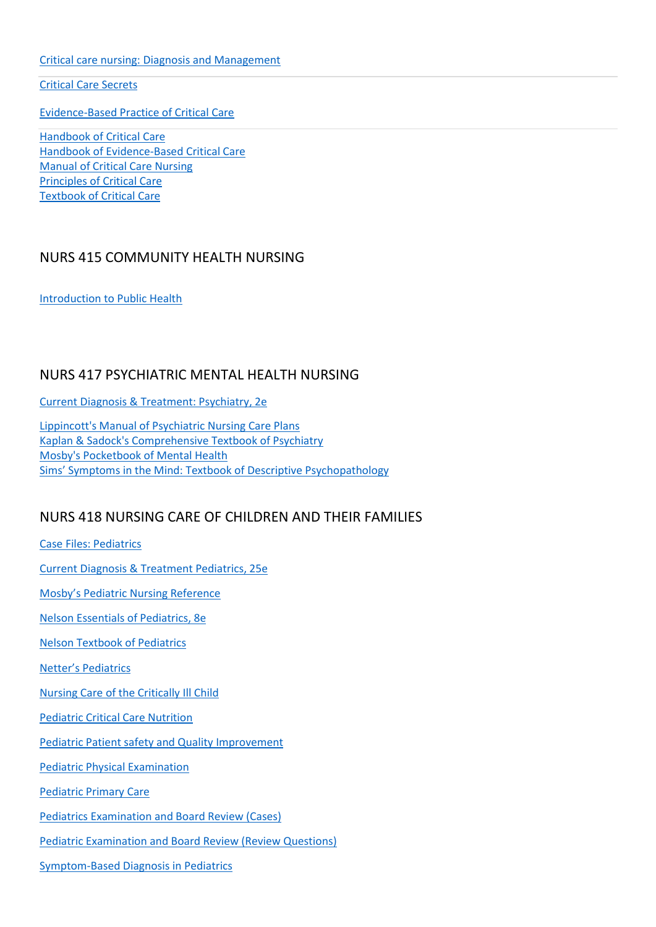[Critical care nursing: Diagnosis and Management](https://www.clinicalkey.com/nursing/#!/browse/book/3-s2.0-C20150023541)

[Critical Care Secrets](https://www.clinicalkey.com/#!/browse/book/3-s2.0-C20150066801)

[Evidence-Based Practice of Critical Care](https://www.clinicalkey.com/#!/browse/book/3-s2.0-C20170034249)

[Handbook of Critical Care](http://link.springer.com/10.1007/978-1-84882-724-0) [Handbook of Evidence-Based Critical Care](http://link.springer.com/10.1007/978-1-4419-5923-2) [Manual of Critical Care Nursing](https://www.clinicalkey.com/nursing/#!/browse/book/3-s2.0-C20120065969) [Principles of Critical Care](https://accessmedicine.mhmedical.com/book.aspx?bookid=1340) [Textbook of Critical Care](https://www.clinicalkey.com/#!/browse/book/3-s2.0-C20130051936)

#### NURS 415 COMMUNITY HEALTH NURSING

[Introduction to Public Health](https://www.clinicalkey.com/nursing/dura/browse/bookChapter/3-s2.0-C20140001517)

#### NURS 417 PSYCHIATRIC MENTAL HEALTH NURSING

[Current Diagnosis & Treatment: Psychiatry, 2e](https://accessmedicine.mhmedical.com/book.aspx?bookid=336)

[Lippincott's Manual of Psychiatric Nursing Care Plans](http://ovidsp.ovid.com/ovidweb.cgi?T=JS&NEWS=n&CSC=Y&PAGE=booktext&D=books&AN=00139941$&XPATH=/PG(0)) [Kaplan & Sadock's Comprehensive Textbook of Psychiatry](http://ovidsp.ovid.com/ovidweb.cgi?T=JS&NEWS=n&CSC=Y&PAGE=booktext&D=books&AN=00140033$&XPATH=/PG(0)) [Mosby's Pocketbook of Mental Health](https://www.clinicalkey.com/nursing/#!/browse/book/3-s2.0-C20170020438) [Sims' Symptoms in the Mind: Textbook of](https://www.clinicalkey.com/#!/browse/book/3-s2.0-C20160034939) Descriptive Psychopathology

#### NURS 418 NURSING CARE OF CHILDREN AND THEIR FAMILIES

[Case Files: Pediatrics](https://accesspediatrics.mhmedical.com/cases.aspx?groupid=387) [Current Diagnosis & Treatment Pediatrics, 25e](https://accessmedicine.mhmedical.com/Book.aspx?bookid=2815) [Mosby's Pediatric Nursing Reference](https://www.clinicalkey.com/nursing/#!/browse/book/3-s2.0-B9780323044967X10007) [Nelson Essentials of Pediatrics, 8e](https://www.clinicalkey.com/#!/browse/book/3-s2.0-C20160012640) [Nelson Textbook of Pediatrics](https://www.clinicalkey.com/#!/browse/book/3-s2.0-C20161017121) Netter's [Pediatrics](https://www.clinicalkey.com/#!/browse/book/3-s2.0-C20090416866) [Nursing Care of the Critically Ill Child](https://www.clinicalkey.com/nursing/#!/browse/book/3-s2.0-C20090458446) [Pediatric Critical Care Nutrition](https://accesspediatrics.mhmedical.com/book.aspx?bookid=1198) [Pediatric Patient safety and Quality Improvement](https://accesspediatrics.mhmedical.com/book.aspx?bookid=1330) [Pediatric Physical Examination](https://www.clinicalkey.com/nursing/#!/browse/book/3-s2.0-C20150057720) [Pediatric Primary Care](https://www.clinicalkey.com/nursing/#!/browse/book/3-s2.0-C20170015896) [Pediatrics Examination and Board Review \(Cases\)](https://accesspediatrics.mhmedical.com/cases.aspx?groupid=387) [Pediatric Examination and Board Review \(Review Questions\)](https://accesspediatrics.mhmedical.com/qa.aspx?resourceID=1961) [Symptom-Based Diagnosis in Pediatrics](https://accesspediatrics.mhmedical.com/book.aspx?bookid=842)